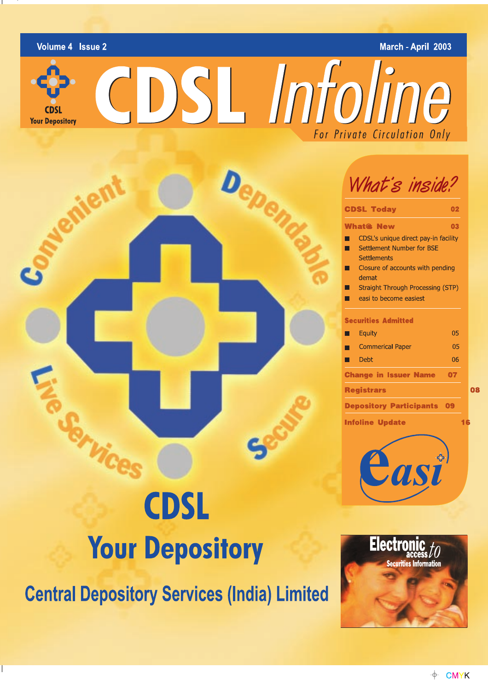Volume 4 Issue 2

### March - April 2003

CDSL Infoline

**Your Depository** 



# What's inside?

| <b>CDSL Today</b>                                                                              | 02 |  |  |  |  |  |
|------------------------------------------------------------------------------------------------|----|--|--|--|--|--|
| <b>What® New</b>                                                                               | 03 |  |  |  |  |  |
| CDSL's unique direct pay-in facility<br><b>Settlement Number for BSE</b><br><b>Settlements</b> |    |  |  |  |  |  |
| Closure of accounts with pending<br>demat                                                      |    |  |  |  |  |  |
| <b>Straight Through Processing (STP)</b><br>easi to become easiest                             |    |  |  |  |  |  |
| <b>Securities Admitted</b>                                                                     |    |  |  |  |  |  |
| Equity                                                                                         | 05 |  |  |  |  |  |
| <b>Commerical Paper</b>                                                                        | 05 |  |  |  |  |  |
| <b>Debt</b>                                                                                    | 06 |  |  |  |  |  |
| <b>Change in Issuer Name</b>                                                                   | 07 |  |  |  |  |  |
| <b>Registrars</b>                                                                              |    |  |  |  |  |  |
| <b>Depository Participants</b>                                                                 | 09 |  |  |  |  |  |
| <b>Infoline Update</b>                                                                         |    |  |  |  |  |  |
|                                                                                                |    |  |  |  |  |  |

# **CDSL Your Depository**

**Central Depository Services (India) Limited** 



08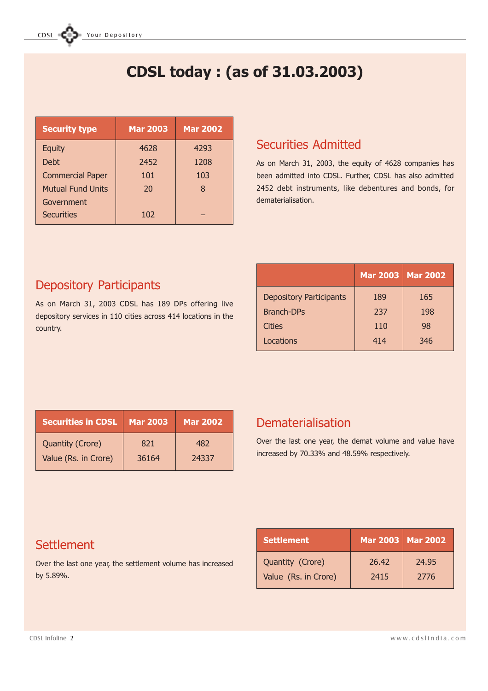# CDSL today : (as of 31.03.2003)

| <b>Security type</b>     | <b>Mar 2003</b> | <b>Mar 2002</b> |
|--------------------------|-----------------|-----------------|
| <b>Equity</b>            | 4628            | 4293            |
| <b>Debt</b>              | 2452            | 1208            |
| <b>Commercial Paper</b>  | 101             | 103             |
| <b>Mutual Fund Units</b> | 20              | 8               |
| Government               |                 |                 |
| <b>Securities</b>        | 102             |                 |

### Securities Admitted

As on March 31, 2003, the equity of 4628 companies has been admitted into CDSL. Further, CDSL has also admitted 2452 debt instruments, like debentures and bonds, for dematerialisation.

### Depository Participants

As on March 31, 2003 CDSL has 189 DPs offering live depository services in 110 cities across 414 locations in the country.

|                                | Mar 2003   Mar 2002 |     |
|--------------------------------|---------------------|-----|
| <b>Depository Participants</b> | 189                 | 165 |
| <b>Branch-DPs</b>              | 237                 | 198 |
| Cities                         | 110                 | 98  |
| Locations                      | 414                 | 346 |

| <b>Securities in CDSL</b> | Mar 2003 | <b>Mar 2002</b> |
|---------------------------|----------|-----------------|
| <b>Quantity (Crore)</b>   | 821      | 482             |
| Value (Rs. in Crore)      | 36164    | 24337           |

### Dematerialisation

Over the last one year, the demat volume and value have increased by 70.33% and 48.59% respectively.

### **Settlement**

Over the last one year, the settlement volume has increased by 5.89%.

| <b>Settlement</b>    | Mar 2003   Mar 2002 |       |
|----------------------|---------------------|-------|
| Quantity (Crore)     | 26.42               | 24.95 |
| Value (Rs. in Crore) | 2415                | 2776  |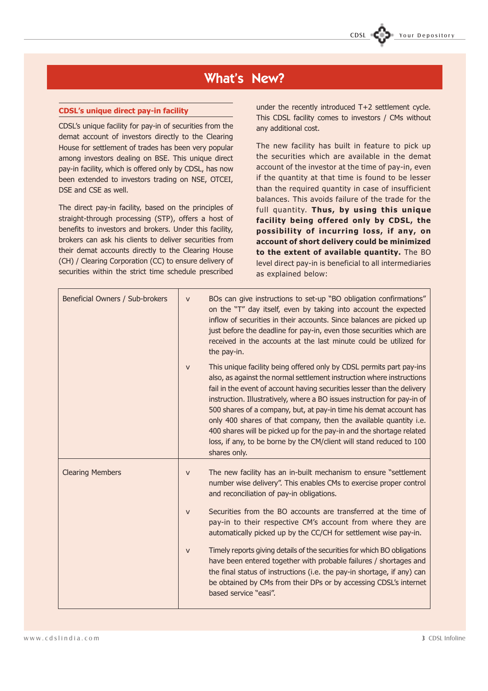### What's New?

#### CDSL's unique direct pay-in facility

CDSL's unique facility for pay-in of securities from the demat account of investors directly to the Clearing House for settlement of trades has been very popular among investors dealing on BSE. This unique direct pay-in facility, which is offered only by CDSL, has now been extended to investors trading on NSE, OTCEI, DSE and CSE as well.

The direct pay-in facility, based on the principles of straight-through processing (STP), offers a host of benefits to investors and brokers. Under this facility, brokers can ask his clients to deliver securities from their demat accounts directly to the Clearing House (CH) / Clearing Corporation (CC) to ensure delivery of securities within the strict time schedule prescribed

under the recently introduced T+2 settlement cycle. This CDSL facility comes to investors / CMs without any additional cost.

The new facility has built in feature to pick up the securities which are available in the demat account of the investor at the time of pay-in, even if the quantity at that time is found to be lesser than the required quantity in case of insufficient balances. This avoids failure of the trade for the full quantity. Thus, by using this unique facility being offered only by CDSL, the possibility of incurring loss, if any, on account of short delivery could be minimized to the extent of available quantity. The BO level direct pay-in is beneficial to all intermediaries as explained below:

| Beneficial Owners / Sub-brokers | $\overline{\mathbf{V}}$   | BOs can give instructions to set-up "BO obligation confirmations"<br>on the "T" day itself, even by taking into account the expected<br>inflow of securities in their accounts. Since balances are picked up<br>just before the deadline for pay-in, even those securities which are<br>received in the accounts at the last minute could be utilized for<br>the pay-in.                                                                                                                                                                                                                                        |
|---------------------------------|---------------------------|-----------------------------------------------------------------------------------------------------------------------------------------------------------------------------------------------------------------------------------------------------------------------------------------------------------------------------------------------------------------------------------------------------------------------------------------------------------------------------------------------------------------------------------------------------------------------------------------------------------------|
|                                 | $\overline{V}$            | This unique facility being offered only by CDSL permits part pay-ins<br>also, as against the normal settlement instruction where instructions<br>fail in the event of account having securities lesser than the delivery<br>instruction. Illustratively, where a BO issues instruction for pay-in of<br>500 shares of a company, but, at pay-in time his demat account has<br>only 400 shares of that company, then the available quantity i.e.<br>400 shares will be picked up for the pay-in and the shortage related<br>loss, if any, to be borne by the CM/client will stand reduced to 100<br>shares only. |
| <b>Clearing Members</b>         | $\overline{\mathbf{V}}$   | The new facility has an in-built mechanism to ensure "settlement"<br>number wise delivery". This enables CMs to exercise proper control<br>and reconciliation of pay-in obligations.                                                                                                                                                                                                                                                                                                                                                                                                                            |
|                                 | $\boldsymbol{\nabla}$     | Securities from the BO accounts are transferred at the time of<br>pay-in to their respective CM's account from where they are<br>automatically picked up by the CC/CH for settlement wise pay-in.                                                                                                                                                                                                                                                                                                                                                                                                               |
|                                 | $\boldsymbol{\mathrm{V}}$ | Timely reports giving details of the securities for which BO obligations<br>have been entered together with probable failures / shortages and<br>the final status of instructions (i.e. the pay-in shortage, if any) can<br>be obtained by CMs from their DPs or by accessing CDSL's internet<br>based service "easi".                                                                                                                                                                                                                                                                                          |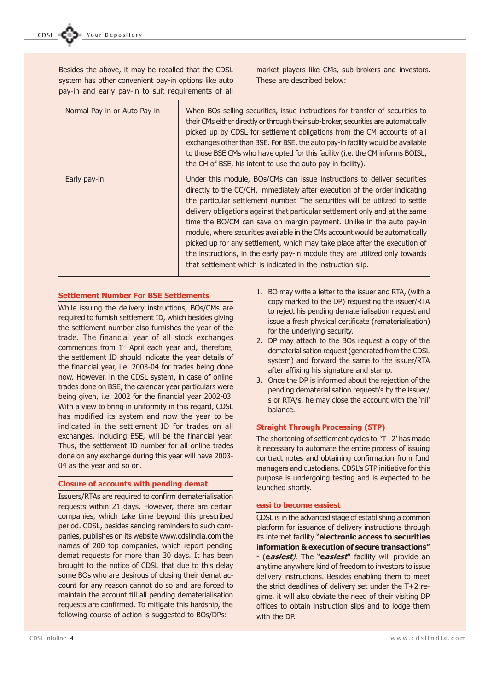Besides the above, it may be recalled that the CDSL system has other convenient pay-in options like auto pay-in and early pay-in to suit requirements of all

market players like CMs, sub-brokers and investors. These are described below:

| Normal Pay-in or Auto Pay-in | When BOs selling securities, issue instructions for transfer of securities to<br>their CMs either directly or through their sub-broker, securities are automatically<br>picked up by CDSL for settlement obligations from the CM accounts of all<br>exchanges other than BSE. For BSE, the auto pay-in facility would be available<br>to those BSE CMs who have opted for this facility (i.e. the CM informs BOISL,<br>the CH of BSE, his intent to use the auto pay-in facility).                                                                                                                                                                                                                      |
|------------------------------|---------------------------------------------------------------------------------------------------------------------------------------------------------------------------------------------------------------------------------------------------------------------------------------------------------------------------------------------------------------------------------------------------------------------------------------------------------------------------------------------------------------------------------------------------------------------------------------------------------------------------------------------------------------------------------------------------------|
| Early pay-in                 | Under this module, BOs/CMs can issue instructions to deliver securities<br>directly to the CC/CH, immediately after execution of the order indicating<br>the particular settlement number. The securities will be utilized to settle<br>delivery obligations against that particular settlement only and at the same<br>time the BO/CM can save on margin payment. Unlike in the auto pay-in<br>module, where securities available in the CMs account would be automatically<br>picked up for any settlement, which may take place after the execution of<br>the instructions, in the early pay-in module they are utilized only towards<br>that settlement which is indicated in the instruction slip. |

#### Settlement Number For BSE Settlements

While issuing the delivery instructions, BOs/CMs are required to furnish settlement ID, which besides giving the settlement number also furnishes the year of the trade. The financial year of all stock exchanges commences from 1<sup>st</sup> April each year and, therefore, the settlement ID should indicate the year details of the financial year, i.e. 2003-04 for trades being done now. However, in the CDSL system, in case of online trades done on BSE, the calendar year particulars were being given, i.e. 2002 for the financial year 2002-03. With a view to bring in uniformity in this regard, CDSL has modified its system and now the year to be indicated in the settlement ID for trades on all exchanges, including BSE, will be the financial year. Thus, the settlement ID number for all online trades done on any exchange during this year will have 2003- 04 as the year and so on.

#### Closure of accounts with pending demat

Issuers/RTAs are required to confirm dematerialisation requests within 21 days. However, there are certain companies, which take time beyond this prescribed period. CDSL, besides sending reminders to such companies, publishes on its website www.cdslindia.com the names of 200 top companies, which report pending demat requests for more than 30 days. It has been brought to the notice of CDSL that due to this delay some BOs who are desirous of closing their demat account for any reason cannot do so and are forced to maintain the account till all pending dematerialisation requests are confirmed. To mitigate this hardship, the following course of action is suggested to BOs/DPs:

- 1. BO may write a letter to the issuer and RTA, (with a copy marked to the DP) requesting the issuer/RTA to reject his pending dematerialisation request and issue a fresh physical certificate (rematerialisation) for the underlying security.
- 2. DP may attach to the BOs request a copy of the dematerialisation request (generated from the CDSL system) and forward the same to the issuer/RTA after affixing his signature and stamp.
- 3. Once the DP is informed about the rejection of the pending dematerialisation request/s by the issuer/ s or RTA/s, he may close the account with the 'nil' balance.

#### Straight Through Processing (STP)

The shortening of settlement cycles to  $T+2'$  has made it necessary to automate the entire process of issuing contract notes and obtaining confirmation from fund managers and custodians. CDSL's STP initiative for this purpose is undergoing testing and is expected to be launched shortly.

#### easi to become easiest

CDSL is in the advanced stage of establishing a common platform for issuance of delivery instructions through its internet facility "**electronic access to securities** information & execution of secure transactions - (easiest). The "easiest" facility will provide an anytime anywhere kind of freedom to investors to issue delivery instructions. Besides enabling them to meet the strict deadlines of delivery set under the T+2 regime, it will also obviate the need of their visiting DP offices to obtain instruction slips and to lodge them with the DP.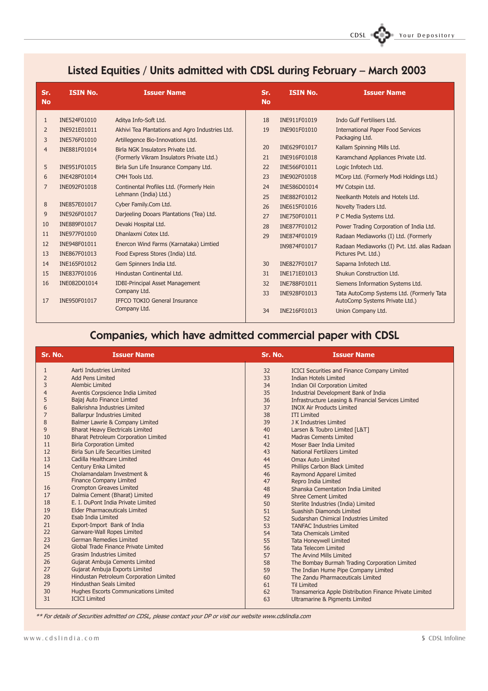### Listed Equities / Units admitted with CDSL during February - March 2003

| Sr.<br><b>No</b> | <b>ISIN No.</b> | <b>Issuer Name</b>                              | Sr.<br><b>No</b> | <b>ISIN No.</b> | <b>Issuer Name</b>                           |
|------------------|-----------------|-------------------------------------------------|------------------|-----------------|----------------------------------------------|
| $\mathbf{1}$     | INE524F01010    | Aditya Info-Soft Ltd.                           | 18               | INE911F01019    | Indo Gulf Fertilisers Ltd.                   |
| 2                | INE921E01011    | Akhivi Tea Plantations and Agro Industries Ltd. | 19               | INE901F01010    | <b>International Paper Food Services</b>     |
| 3                | INE576F01010    | Artillegence Bio-Innovations Ltd.               |                  |                 | Packaging Ltd.                               |
| $\overline{4}$   | INE881F01014    | Birla NGK Insulators Private Ltd.               | 20               | INE629F01017    | Kallam Spinning Mills Ltd.                   |
|                  |                 | (Formerly Vikram Insulators Private Ltd.)       | 21               | INE916F01018    | Karamchand Appliances Private Ltd.           |
| 5                | INE951F01015    | Birla Sun Life Insurance Company Ltd.           | 22               | INE566F01011    | Logic Infotech Ltd.                          |
| 6                | INE428F01014    | CMH Tools Ltd.                                  | 23               | INE902F01018    | MCorp Ltd. (Formerly Modi Holdings Ltd.)     |
| 7                | INE092F01018    | Continental Profiles Ltd. (Formerly Hein        | 24               | INE586D01014    | MV Cotspin Ltd.                              |
|                  |                 | Lehmann (India) Ltd.)                           | 25               | INE882F01012    | Neelkanth Motels and Hotels Ltd.             |
| 8                | INE857E01017    | Cyber Family.Com Ltd.                           | 26               | INE615F01016    | Novelty Traders Ltd.                         |
| 9                | INE926F01017    | Darjeeling Dooars Plantations (Tea) Ltd.        | 27               | INE750F01011    | P C Media Systems Ltd.                       |
| 10               | INE889F01017    | Devaki Hospital Ltd.                            | 28               | INE877F01012    | Power Trading Corporation of India Ltd.      |
| 11               | INE977F01010    | Dhanlaxmi Cotex Ltd.                            | 29               | INE874F01019    | Radaan Mediaworks (I) Ltd. (Formerly         |
| 12               | INE948F01011    | Enercon Wind Farms (Karnataka) Limtied          |                  | IN9874F01017    | Radaan Mediaworks (I) Pvt. Ltd. alias Radaan |
| 13               | INE867F01013    | Food Express Stores (India) Ltd.                |                  |                 | Pictures Pvt. Ltd.)                          |
| 14               | INE165F01012    | Gem Spinners India Ltd.                         | 30               | INE827F01017    | Saparna Infotech Ltd.                        |
| 15               | INE837F01016    | Hindustan Continental Ltd.                      | 31               | INE171E01013    | Shukun Construction Ltd.                     |
| 16               | INE082D01014    | <b>IDBI-Principal Asset Management</b>          | 32               | INE788F01011    | Siemens Information Systems Ltd.             |
|                  |                 | Company Ltd.                                    | 33               | INE928F01013    | Tata AutoComp Systems Ltd. (Formerly Tata    |
| 17               | INE950F01017    | IFFCO TOKIO General Insurance                   |                  |                 | AutoComp Systems Private Ltd.)               |
|                  |                 | Company Ltd.                                    | 34               | INE216F01013    | Union Company Ltd.                           |

### Companies, which have admitted commercial paper with CDSL

| Sr. No. | <b>Issuer Name</b>                          | Sr. No. | <b>Issuer Name</b>                                      |
|---------|---------------------------------------------|---------|---------------------------------------------------------|
| 1       | Aarti Industries Limited                    | 32      | <b>ICICI Securities and Finance Company Limited</b>     |
| 2       | <b>Add Pens Limited</b>                     | 33      | <b>Indian Hotels Limited</b>                            |
| 3       | Alembic Limited                             | 34      | <b>Indian Oil Corporation Limited</b>                   |
|         | Aventis Corpscience India Limited           | 35      | Industrial Development Bank of India                    |
| 5       | Bajaj Auto Finance Limted                   | 36      | Infrastructure Leasing & Financial Services Limited     |
| 6       | Balkrishna Industries Limited               | 37      | <b>INOX Air Products Limited</b>                        |
| 7       | <b>Ballarpur Industries Limited</b>         | 38      | <b>ITI Limited</b>                                      |
| 8       | Balmer Lawrie & Company Limited             | 39      | J K Industries Limited                                  |
| 9       | <b>Bharat Heavy Electricals Limited</b>     | 40      | Larsen & Toubro Limited [L&T]                           |
| 10      | <b>Bharat Petroleum Corporation Limited</b> | 41      | <b>Madras Cements Limited</b>                           |
| 11      | <b>Birla Corporation Limited</b>            | 42      | Moser Baer India Limited                                |
| 12      | <b>Birla Sun Life Securities Limited</b>    | 43      | National Fertilizers Limited                            |
| 13      | Cadilla Healthcare Limited                  | 44      | <b>Omax Auto Limited</b>                                |
| 14      | Century Enka Limited                        | 45      | Phillips Carbon Black Limited                           |
| 15      | Cholamandalam Investment &                  | 46      | Raymond Apparel Limited                                 |
|         | <b>Finance Company Limited</b>              | 47      | Repro India Limited                                     |
| 16      | <b>Crompton Greaves Limited</b>             | 48      | Shanska Cementation India Limited                       |
| 17      | Dalmia Cement (Bharat) Limited              | 49      | <b>Shree Cement Limited</b>                             |
| 18      | E. I. DuPont India Private Limited          | 50      | Sterlite Industries (India) Limited                     |
| 19      | <b>Elder Pharmaceuticals Limited</b>        | 51      | Suashish Diamonds Limited                               |
| 20      | Esab India Limited                          | 52      | Sudarshan Chimical Industries Limited                   |
| 21      | Export-Import Bank of India                 | 53      | <b>TANFAC Industries Limited</b>                        |
| 22      | Garware-Wall Ropes Limited                  | 54      | <b>Tata Chemicals Limited</b>                           |
| 23      | <b>German Remedies Limited</b>              | 55      | <b>Tata Honeywell Limited</b>                           |
| 24      | Global Trade Finance Private Limited        | 56      | <b>Tata Telecom Limited</b>                             |
| 25      | <b>Grasim Industries Limited</b>            | 57      | The Arvind Mills Limited                                |
| 26      | Gujarat Ambuja Cements Limited              | 58      | The Bombay Burmah Trading Corporation Limited           |
| 27      | Gujarat Ambuja Exports Limited              | 59      | The Indian Hume Pipe Company Limited                    |
| 28      | Hindustan Petroleum Corporation Limited     | 60      | The Zandu Pharmaceuticals Limited                       |
| 29      | <b>Hindusthan Seals Limited</b>             | 61      | <b>Til Limited</b>                                      |
| 30      | Hughes Escorts Communications Limited       | 62      | Transamerica Apple Distribution Finance Private Limited |
| 31      | <b>ICICI Limited</b>                        | 63      | Ultramarine & Pigments Limited                          |

\*\* For details of Securities admitted on CDSL, please contact your DP or visit our website www.cdslindia.com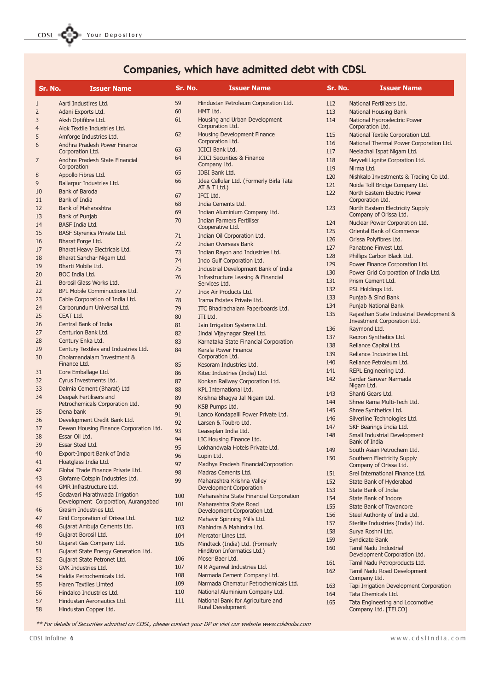CDSL **COST** Your Depository

## Companies, which have admitted debt with CDSL

| Sr. No.             | <b>Issuer Name</b>                                       | Sr. No. | <b>Issuer Name</b>                                                        | Sr. No. | <b>Issuer Name</b>                                           |
|---------------------|----------------------------------------------------------|---------|---------------------------------------------------------------------------|---------|--------------------------------------------------------------|
| $\mathbf{1}$        | Aarti Industires Ltd.                                    | 59      | Hindustan Petroleum Corporation Ltd.                                      | 112     | National Fertilizers Ltd.                                    |
| $\overline{2}$      | Adani Exports Ltd.                                       | 60      | HMT Ltd.                                                                  | 113     | National Housing Bank                                        |
| 3<br>$\overline{4}$ | Aksh Optifibre Ltd.<br>Alok Textile Industries Ltd.      | 61      | Housing and Urban Development<br>Corporation Ltd.                         | 114     | National Hydroelectric Power<br>Corporation Ltd.             |
| 5                   | Amforge Industries Ltd.                                  | 62      | <b>Housing Development Finance</b>                                        | 115     | National Textile Corporation Ltd.                            |
| 6                   | Andhra Pradesh Power Finance                             |         | Corporation Ltd.                                                          | 116     | National Thermal Power Corporation Ltd.                      |
|                     | Corporation Ltd.                                         | 63      | <b>ICICI Bank Ltd.</b>                                                    | 117     | Neelachal Ispat Nigam Ltd.                                   |
| 7                   | Andhra Pradesh State Financial                           | 64      | <b>ICICI Securities &amp; Finance</b><br>Company Ltd.                     | 118     | Neyveli Lignite Corpration Ltd.                              |
|                     | Corporation                                              | 65      | <b>IDBI Bank Ltd.</b>                                                     | 119     | Nirma Ltd.                                                   |
| 8                   | Appollo Fibres Ltd.                                      | 66      | Idea Cellular Ltd. (Formerly Birla Tata                                   | 120     | Nishkalp Investments & Trading Co Ltd.                       |
| 9                   | Ballarpur Industries Ltd.                                |         | AT & T Ltd.                                                               | 121     | Noida Toll Bridge Company Ltd.                               |
| 10                  | Bank of Baroda                                           | 67      | IFCI Ltd.                                                                 | 122     | North Eastern Electric Power                                 |
| 11                  | <b>Bank of India</b>                                     | 68      | India Cements Ltd.                                                        |         | Corporation Ltd.                                             |
| 12                  | <b>Bank of Maharashtra</b>                               | 69      | Indian Aluminium Company Ltd.                                             | 123     | North Eastern Electricity Supply<br>Company of Orissa Ltd.   |
| 13                  | Bank of Punjab<br><b>BASF India Ltd.</b>                 | 70      | <b>Indian Farmers Fertiliser</b>                                          | 124     | Nuclear Power Corporation Ltd.                               |
| 14<br>15            | <b>BASF Styrenics Private Ltd.</b>                       |         | Cooperative Ltd.                                                          | 125     | Oriental Bank of Commerce                                    |
| 16                  | Bharat Forge Ltd.                                        | 71      | Indian Oil Corporation Ltd.                                               | 126     | Orissa Polyfibres Ltd.                                       |
| 17                  | Bharat Heavy Electricals Ltd.                            | 72      | Indian Overseas Bank                                                      | 127     | Panatone Finvest Ltd.                                        |
| 18                  | Bharat Sanchar Nigam Ltd.                                | 73      | Indian Rayon and Industries Ltd.                                          | 128     | Phillips Carbon Black Ltd.                                   |
| 19                  | Bharti Mobile Ltd.                                       | 74      | Indo Gulf Corporation Ltd.                                                | 129     | Power Finance Corporation Ltd.                               |
| 20                  | BOC India Ltd.                                           | 75      | Industrial Development Bank of India                                      | 130     | Power Grid Corporation of India Ltd.                         |
| 21                  | Borosil Glass Works Ltd.                                 | 76      | <b>Infrastructure Leasing &amp; Financial</b><br>Services Ltd.            | 131     | Prism Cement Ltd.                                            |
| 22                  | <b>BPL Mobile Comminuctions Ltd.</b>                     | 77      | Inox Air Products Ltd.                                                    | 132     | PSL Holdings Ltd.                                            |
| 23                  | Cable Corporation of India Ltd.                          | 78      | Irama Estates Private Ltd.                                                | 133     | Punjab & Sind Bank                                           |
| 24                  | Carborundum Universal Ltd.                               | 79      | ITC Bhadrachalam Paperboards Ltd.                                         | 134     | Punjab National Bank                                         |
| 25                  | CEAT Ltd.                                                | 80      | ITI Ltd.                                                                  | 135     | Rajasthan State Industrial Development &                     |
| 26                  | Central Bank of India                                    | 81      | Jain Irrigation Systems Ltd.                                              |         | Investment Corporation Ltd.                                  |
| 27                  | Centurion Bank Ltd.                                      | 82      | Jindal Vijaynagar Steel Ltd.                                              | 136     | Raymond Ltd.                                                 |
| 28                  | Century Enka Ltd.                                        | 83      | Karnataka State Financial Corporation                                     | 137     | Recron Synthetics Ltd.                                       |
| 29                  | Century Textiles and Industries Ltd.                     | 84      | Kerala Power Finance                                                      | 138     | Reliance Capital Ltd.                                        |
| 30                  | Cholamandalam Investment &                               |         | Corporation Ltd.                                                          | 139     | Reliance Industries Ltd.                                     |
|                     | Finance Ltd.                                             | 85      | Kesoram Industries Ltd.                                                   | 140     | Reliance Petroleum Ltd.                                      |
| 31                  | Core Emballage Ltd.                                      | 86      | Kitec Industries (India) Ltd.                                             | 141     | REPL Engineering Ltd.                                        |
| 32                  | Cyrus Investments Ltd.                                   | 87      | Konkan Railway Corporation Ltd.                                           | 142     | Sardar Sarovar Narmada                                       |
| 33                  | Dalmia Cement (Bharat) Ltd                               | 88      | <b>KPL International Ltd.</b>                                             | 143     | Nigam Ltd.<br>Shanti Gears Ltd.                              |
| 34                  | Deepak Fertilisers and                                   | 89      | Krishna Bhaqya Jal Nigam Ltd.                                             | 144     | Shree Rama Multi-Tech Ltd.                                   |
|                     | Petrochemicals Corporation Ltd.                          | 90      | KSB Pumps Ltd.                                                            | 145     | Shree Synthetics Ltd.                                        |
| 35                  | Dena bank                                                | 91      | Lanco Kondapalli Power Private Ltd.                                       | 146     | Silverline Technologies Ltd.                                 |
| 36                  | Development Credit Bank Ltd.                             | 92      | Larsen & Toubro Ltd.                                                      | 147     | SKF Bearings India Ltd.                                      |
| 37                  | Dewan Housing Finance Corporation Ltd.<br>Essar Oil Ltd. | 93      | Leaseplan India Ltd.                                                      | 148     | <b>Small Industrial Development</b>                          |
| 38                  |                                                          | 94      | LIC Housing Finance Ltd.                                                  |         | Bank of India                                                |
| 39<br>40            | Essar Steel Ltd.<br>Export-Import Bank of India          | 95      | Lokhandwala Hotels Private Ltd.                                           | 149     | South Asian Petrochem Ltd.                                   |
| 41                  | Floatglass India Ltd.                                    | 96      | Lupin Ltd.                                                                | 150     | Southern Electricity Supply                                  |
| 42                  | Global Trade Finance Private Ltd.                        | 97      | Madhya Pradesh FinancialCorporation                                       |         | Company of Orissa Ltd.                                       |
| 43                  | Glofame Cotspin Industries Ltd.                          | 98      | Madras Cements Ltd.                                                       | 151     | Srei International Finance Ltd.                              |
| 44                  | GMR Infrastructure Ltd.                                  | 99      | Maharashtra Krishna Valley                                                | 152     | State Bank of Hyderabad                                      |
| 45                  | Godavari Marathwada Irrigation                           | 100     | <b>Development Corporation</b><br>Maharashtra State Financial Corporation | 153     | <b>State Bank of India</b>                                   |
|                     | Development Corporation, Aurangabad                      | 101     | Maharashtra State Road                                                    | 154     | <b>State Bank of Indore</b>                                  |
| 46                  | Grasim Industries Ltd.                                   |         | Development Corporation Ltd.                                              | 155     | <b>State Bank of Travancore</b>                              |
| 47                  | Grid Corporation of Orissa Ltd.                          | 102     | Mahavir Spinning Mills Ltd.                                               | 156     | Steel Authority of India Ltd.                                |
| 48                  | Gujarat Ambuja Cements Ltd.                              | 103     | Mahindra & Mahindra Ltd.                                                  | 157     | Sterlite Industries (India) Ltd.                             |
| 49                  | Gujarat Borosil Ltd.                                     | 104     | Mercator Lines Ltd.                                                       | 158     | Surya Roshni Ltd.                                            |
| 50                  | Gujarat Gas Company Ltd.                                 | 105     | Mindteck (India) Ltd. (Formerly                                           | 159     | Syndicate Bank                                               |
| 51                  | Gujarat State Energy Generation Ltd.                     |         | Hinditron Informatics Ltd.)                                               | 160     | <b>Tamil Nadu Industrial</b><br>Development Corporation Ltd. |
| 52                  | Gujarat State Petronet Ltd.                              | 106     | Moser Baer Ltd.                                                           | 161     | Tamil Nadu Petroproducts Ltd.                                |
| 53                  | GVK Industries Ltd.                                      | 107     | N R Agarwal Industries Ltd.                                               | 162     | Tamil Nadu Road Development                                  |
| 54                  | Haldia Petrochemicals Ltd.                               | 108     | Narmada Cement Company Ltd.                                               |         | Company Ltd.                                                 |
| 55                  | <b>Haren Textiles Limted</b>                             | 109     | Narmada Chematur Petrochemicals Ltd.                                      | 163     | Tapi Irrigation Development Corporation                      |
| 56                  | Hindalco Industries Ltd.                                 | 110     | National Aluminium Company Ltd.                                           | 164     | Tata Chemicals Ltd.                                          |
| 57                  | Hindustan Aeronautics Ltd.                               | 111     | National Bank for Agriculture and                                         | 165     | Tata Engineering and Locomotive                              |
| 58                  | Hindustan Copper Ltd.                                    |         | Rural Development                                                         |         | Company Ltd. [TELCO]                                         |

\*\* For details of Securities admitted on CDSL, please contact your DP or visit our website www.cdslindia.com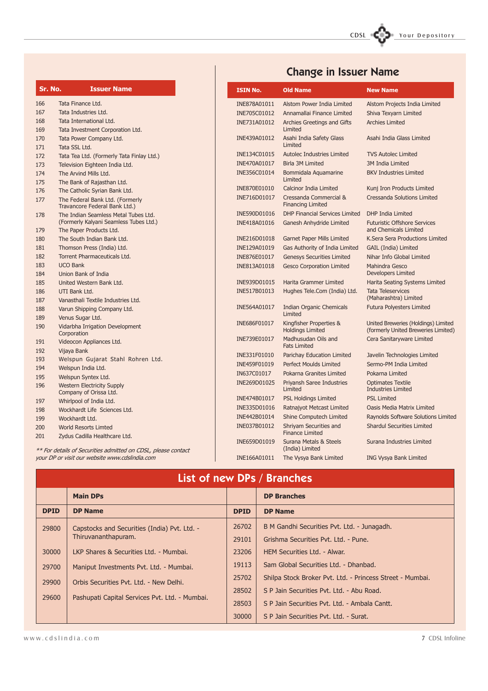# CDSL Your Depository

| Sr. No. | <b>Issuer Name</b>                                                             |
|---------|--------------------------------------------------------------------------------|
| 166     | Tata Finance Ltd.                                                              |
| 167     | Tata Industries Ltd.                                                           |
| 168     | Tata International Ltd.                                                        |
| 169     | Tata Investment Corporation Ltd.                                               |
| 170     | Tata Power Company Ltd.                                                        |
| 171     | Tata SSL Ltd.                                                                  |
| 172     | Tata Tea Ltd. (Formerly Tata Finlay Ltd.)                                      |
| 173     | Television Eighteen India Ltd.                                                 |
| 174     | The Arvind Mills Ltd.                                                          |
| 175     | The Bank of Rajasthan Ltd.                                                     |
| 176     | The Catholic Syrian Bank Ltd.                                                  |
| 177     | The Federal Bank Ltd. (Formerly                                                |
|         | Travancore Federal Bank Ltd.)                                                  |
| 178     | The Indian Seamless Metal Tubes Ltd.<br>(Formerly Kalyani Seamless Tubes Ltd.) |
| 179     | The Paper Products Ltd.                                                        |
| 180     | The South Indian Bank Ltd.                                                     |
| 181     | Thomson Press (India) Ltd.                                                     |
| 182     | Torrent Pharmaceuticals Ltd.                                                   |
| 183     | <b>UCO Bank</b>                                                                |
| 184     | Union Bank of India                                                            |
| 185     | United Western Bank Ltd.                                                       |
| 186     | UTI Bank Ltd.                                                                  |
| 187     | Vanasthali Textile Industries Ltd.                                             |
| 188     | Varun Shipping Company Ltd.                                                    |
| 189     | Venus Sugar Ltd.                                                               |
| 190     | Vidarbha Irrigation Development<br>Corporation                                 |
| 191     | Videocon Appliances Ltd.                                                       |
| 192     | Vijaya Bank                                                                    |
| 193     | Welspun Gujarat Stahl Rohren Ltd.                                              |
| 194     | Welspun India Ltd.                                                             |
| 195     | Welspun Syntex Ltd.                                                            |
| 196     | <b>Western Electricity Supply</b><br>Company of Orissa Ltd.                    |
| 197     | Whirlpool of India Ltd.                                                        |
| 198     | Wockhardt Life Sciences Ltd.                                                   |
| 199     | Wockhardt Ltd.                                                                 |
| 200     | <b>World Resorts Limted</b>                                                    |

## Change in Issuer Name

| <b>ISIN No.</b> | <b>Old Name</b>                                    | <b>New Name</b>                                                            |
|-----------------|----------------------------------------------------|----------------------------------------------------------------------------|
| INE878A01011    | Alstom Power India Limited                         | Alstom Projects India Limited                                              |
| INE705C01012    | Annamallai Finance Limited                         | Shiva Texyarn Limited                                                      |
| INE731A01012    | <b>Archies Greetings and Gifts</b><br>Limited      | <b>Archies Limited</b>                                                     |
| INE439A01012    | Asahi India Safety Glass<br>Limited                | Asahi India Glass Limited                                                  |
| INE134C01015    | <b>Autolec Industries Limited</b>                  | <b>TVS Autolec Limited</b>                                                 |
| INE470A01017    | <b>Birla 3M Limited</b>                            | <b>3M India Limited</b>                                                    |
| INE356C01014    | Bommidala Aguamarine<br>Limited                    | <b>BKV Industries Limited</b>                                              |
| INE870E01010    | <b>Calcinor India Limited</b>                      | Kunj Iron Products Limited                                                 |
| INE716D01017    | Cressanda Commercial &<br><b>Financing Limited</b> | <b>Cressanda Solutions Limited</b>                                         |
| INE590D01016    | <b>DHP Financial Services Limited</b>              | <b>DHP India Limited</b>                                                   |
| INE418A01016    | Ganesh Anhydride Limited                           | <b>Futuristic Offshore Services</b><br>and Chemicals Limited               |
| INE216D01018    | <b>Garnet Paper Mills Limited</b>                  | K.Sera Sera Productions Limited                                            |
| INE129A01019    | Gas Authority of India Limited                     | <b>GAIL (India) Limited</b>                                                |
| INE876E01017    | <b>Genesys Securities Limited</b>                  | Nihar Info Global Limited                                                  |
| INE813A01018    | <b>Gesco Corporation Limited</b>                   | Mahindra Gesco<br><b>Developers Limited</b>                                |
| INE939D01015    | <b>Harita Grammer Limited</b>                      | Harita Seating Systems Limited                                             |
| INE517B01013    | Hughes Tele.Com (India) Ltd.                       | <b>Tata Teleservices</b><br>(Maharashtra) Limited                          |
| INE564A01017    | <b>Indian Organic Chemicals</b><br>Limited         | <b>Futura Polyesters Limited</b>                                           |
| INE686F01017    | Kingfisher Properties &<br><b>Holdings Limited</b> | United Breweries (Holdings) Limited<br>(formerly United Breweries Limited) |
| INE739E01017    | Madhusudan Oils and<br><b>Fats Limited</b>         | Cera Sanitaryware Limited                                                  |
| INE331F01010    | Parichay Education Limited                         | Javelin Technologies Limited                                               |
| INE459F01019    | Perfect Moulds Limited                             | Sermo-PM India Limited                                                     |
| IN637C01017     | Pokarna Granites Limited                           | Pokarna Limited                                                            |
| INE269D01025    | <b>Priyansh Saree Industries</b><br>Limited        | <b>Optimates Textile</b><br><b>Industries Limited</b>                      |
| INE474B01017    | <b>PSL Holdings Limited</b>                        | <b>PSL Limited</b>                                                         |
| INE335D01016    | Ratnajyot Metcast Limited                          | <b>Oasis Media Matrix Limited</b>                                          |
| INE442B01014    | <b>Shine Computech Limited</b>                     | <b>Raynolds Software Solutions Limited</b>                                 |
| INE037B01012    | Shriyam Securities and<br><b>Finance Limited</b>   | <b>Shardul Securities Limited</b>                                          |
| INE659D01019    | Surana Metals & Steels<br>(India) Limited          | Surana Industries Limited                                                  |
| INE166A01011    | The Vysya Bank Limited                             | <b>ING Vysya Bank Limited</b>                                              |

\*\* For details of Securities admitted on CDSL, please contact your DP or visit our website www.cdslindia.com

201 Zydus Cadilla Healthcare Ltd.

## List of new DPs / Branches

|             | <b>Main DPs</b>                                                     |             | <b>DP Branches</b>                                        |
|-------------|---------------------------------------------------------------------|-------------|-----------------------------------------------------------|
| <b>DPID</b> | <b>DP Name</b>                                                      | <b>DPID</b> | <b>DP Name</b>                                            |
| 29800       | Capstocks and Securities (India) Pvt. Ltd. -<br>Thiruvananthapuram. | 26702       | B M Gandhi Securities Pvt. Ltd. - Junagadh.               |
|             |                                                                     | 29101       | Grishma Securities Pvt. Ltd. - Pune.                      |
| 30000       | LKP Shares & Securities Ltd. - Mumbai.                              | 23206       | HEM Securities Ltd. - Alwar.                              |
| 29700       | Maniput Investments Pvt. Ltd. - Mumbai.                             | 19113       | Sam Global Securities Ltd. - Dhanbad.                     |
| 29900       | Orbis Securities Pvt. Ltd. - New Delhi.                             | 25702       | Shilpa Stock Broker Pvt. Ltd. - Princess Street - Mumbai. |
|             |                                                                     | 28502       | S P Jain Securities Pvt. Ltd. - Abu Road.                 |
| 29600       | Pashupati Capital Services Pvt. Ltd. - Mumbai.                      | 28503       | S P Jain Securities Pyt. Ltd. - Ambala Cantt.             |
|             |                                                                     | 30000       | S P Jain Securities Pvt. Ltd. - Surat.                    |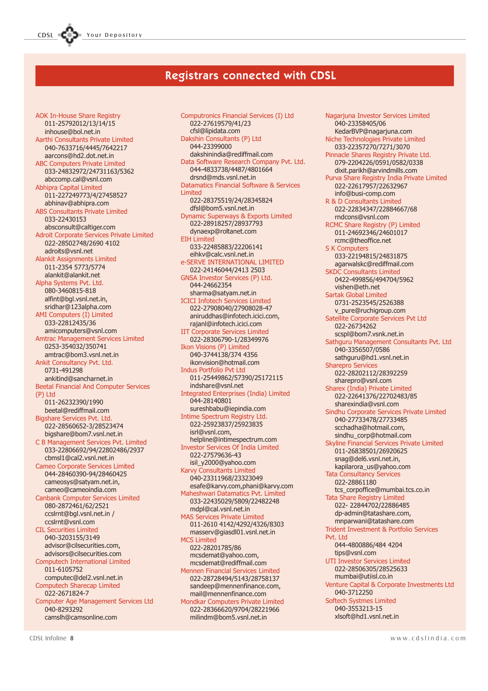AOK In-House Share Registry 011-25792012/13/14/15 inhouse@bol.net.in Aarthi Consultants Private Limited 040-7633716/4445/7642217 aarcons@hd2.dot.net.in ABC Computers Private Limited 033-24832972/24731163/5362 abccomp.cal@vsnl.com Abhipra Capital Limited 011-227249773/4/27458527 abhinav@abhipra.com ABS Consultants Private Limited 033-22430153 absconsult@caltiger.com Adroit Corporate Services Private Limited 022-28502748/2690 4102 adroits@vsnl.net Alankit Assignments Limited 011-2354 5773/5774 alankit@alankit.net Alpha Systems Pvt. Ltd. 080-3460815-818 alfint@bgl.vsnl.net.in, sridhar@123alpha.com AMI Computers (I) Limited 033-22812435/36 amicomputers@vsnl.com Amtrac Management Services Limited 0253-354032/350741 amtrac@bom3.vsnl.net.in Ankit Consultancy Pvt. Ltd. 0731-491298 ankitind@sancharnet.in Beetal Financial And Computer Services (P) Ltd 011-26232390/1990 beetal@rediffmail.com Bigshare Services Pvt. Ltd. 022-28560652-3/28523474 bigshare@bom7.vsnl.net.in C B Management Services Pvt. Limited 033-22806692/94/22802486/2937 cbmsl1@cal2.vsnl.net.in Cameo Corporate Services Limited 044-28460390-94/28460425 cameosys@satyam.net.in, cameo@cameoindia.com Canbank Computer Services Limited 080-2872461/62/2521 ccslrnt@bgl.vsnl.net.in / ccslrnt@vsnl.com CIL Securities Limited 040-3203155/3149 advisor@cilsecurities.com, advisors@cilsecurities.com Computech International Limited 011-6105752 computec@del2.vsnl.net.in Computech Sharecap Limited 022-2671824-7 Computer Age Management Services Ltd 040-8293292 camslh@camsonline.com

CDSL **COD** Your Depository

Computronics Financial Services (I) Ltd 022-27619579/41/23 cfsl@lipidata.com Dakshin Consultants (P) Ltd 044-23399000 dakshinindia@rediffmail.com Data Software Research Company Pvt. Ltd. 044-4833738/4487/4801664 drsnd@mds.vsnl.net.in Datamatics Financial Software & Services Limited 022-28375519/24/28345824 dfsl@bom5.vsnl.net.in Dynamic Superways & Exports Limited 022-28918257/28937793 dynaexp@roltanet.com EIH Limited 033-22485883/22206141 eihkv@calc.vsnl.net.in e-SERVE INTERNATIONAL LIMITED 022-24146044/2413 2503 GNSA Investor Services (P) Ltd. 044-24662354 sharma@satyam.net.in ICICI Infotech Services Limited 022-27908040/27908028-47 aniruddhas@infotech.icici.com, rajanl@infotech.icici.com IIT Corporate Services Limited 022-28306790-1/28349976 Ikon Visions (P) Limited 040-3744138/374 4356 ikonvision@hotmail.com Indus Portfolio Pvt Ltd 011-25449862/57390/25172115 indshare@vsnl.net Integrated Enterprises (India) Limited 044-28140801 sureshbabu@iepindia.com Intime Spectrum Registry Ltd. 022-25923837/25923835 isrl@vsnl.com, helpline@intimespectrum.com Investor Services Of India Limited 022-27579636-43 isil\_y2000@yahoo.com Karvy Consultants Limited 040-23311968/23323049 esafe@karvy.com,phani@karvy.com Maheshwari Datamatics Pvt. Limited 033-22435029/5809/22482248 mdpl@cal.vsnl.net.in MAS Services Private Limited 011-2610 4142/4292/4326/8303 masserv@giasdl01.vsnl.net.in MCS Limited 022-28201785/86 mcsdemat@yahoo.com, mcsdemat@rediffmail.com Mennen Financial Services Limited 022-28728494/5143/28758137 sandeep@mennenfinance.com, mail@mennenfinance.com Mondkar Computers Private Limited 022-28366620/9704/28221966 milindm@bom5.vsnl.net.in

Nagarjuna Investor Services Limited 040-23358405/06 KedarBVP@nagarjuna.com Niche Technologies Private Limited 033-22357270/7271/3070 Pinnacle Shares Registry Private Ltd. 079-2204226/0591/0582/0338 dixit.parikh@arvindmills.com Purva Share Registry India Private Limited 022-22617957/22632967 info@busi-comp.com R & D Consultants Limited 022-22834347/22884667/68 rndcons@vsnl.com RCMC Share Registry (P) Limited 011-24692346/24601017 rcmc@theoffice.net S K Computers 033-22194815/24831875 agarwalskc@rediffmail.com SKDC Consultants Limited 0422-499856/494704/5962 vishen@eth.net Sartak Global Limited 0731-2523545/2526388 v\_pure@ruchigroup.com Satellite Corporate Services Pvt Ltd 022-26734262 scspl@bom7.vsnk.net.in Sathguru Management Consultants Pvt. Ltd 040-3356507/0586 sathguru@hd1.vsnl.net.in Sharepro Services 022-28202112/28392259 sharepro@vsnl.com Sharex (India) Private Limited 022-22641376/22702483/85 sharexindia@vsnl.com Sindhu Corporate Services Private Limited 040-27733478/27733485 scchadha@hotmail.com, sindhu\_corp@hotmail.com Skyline Financial Services Private Limited 011-26838501/26920625 snag@del6.vsnl.net.in, kapilarora\_us@yahoo.com Tata Consultancy Services 022-28861180 tcs\_corpoffice@mumbai.tcs.co.in Tata Share Registry Limited 022- 22844702/22886485 dp-admin@tatashare.com, mnparwani@tatashare.com Trident Investment & Portfolio Services Pvt. Ltd 044-4800886/484 4204 tips@vsnl.com UTI Investor Services Limited 022-28506305/28525633 mumbai@utiisl.co.in Venture Capital & Corporate Investments Ltd 040-3712250 Softech Systmes Limited 040-3553213-15 xlsoft@hd1.vsnl.net.in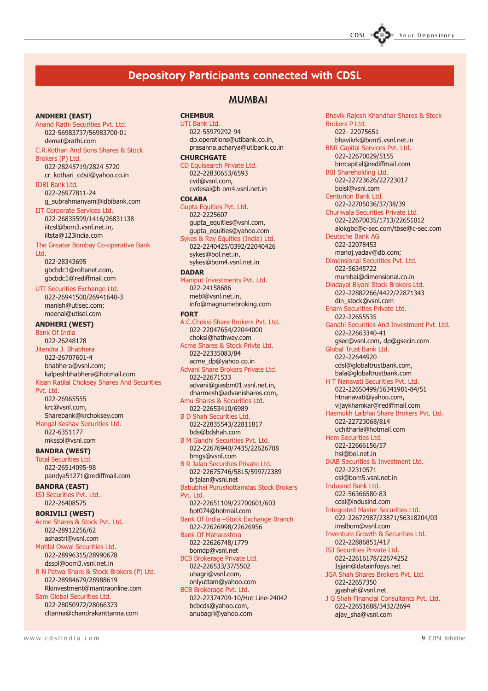### Depository Participants connected with CDSL

#### ANDHERI (EAST)

Anand Rathi Securities Pvt. Ltd. 022-56983737/56983700-01 demat@rathi.com

#### C.R.Kothari And Sons Shares & Stock Brokers (P) Ltd.

022-28245719/2824 5720 cr\_kothari\_cdsil@yahoo.co.in

IDBI Bank Ltd. 022-26977811-24

g\_subrahmanyam@idbibank.com IIT Corporate Services Ltd. 022-26835599/1416/26831138 iitcsl@bom3.vsnl.net.in,

iitsta@123india.com

#### The Greater Bombay Co-operative Bank Ltd.

022-28343695 gbcbdc1@roltanet.com, gbcbdc1@rediffmail.com

UTI Securities Exchange Ltd. 022-26941500/26941640-3 manish@utisec.com; meenal@utisel.com

#### ANDHERI (WEST)

Bank Of India 022-26248178 Jitendra J. Bhabhera 022-26707601-4 bhabhera@vsnl.com; kalpeshbhabhera@hotmail.com Kisan Ratilal Choksey Shares And Securities Pvt. Ltd.

022-26965555 krc@vsnl.com, Sharebank@krchoksey.com Mangal Keshav Securities Ltd. 022-6351177 mkssbl@vsnl.com

#### BANDRA (WEST)

Total Securities Ltd. 022-26514095-98 pandya51271@rediffmail.com

BANDRA (EAST) ISJ Securities Pvt. Ltd.

022-26408575

#### BORIVILI (WEST)

Acme Shares & Stock Pvt. Ltd. 022-28912256/62 ashastri@vsnl.com Motilal Oswal Securities Ltd. 022-28996315/28990678 dsspl@bom3.vsnl.net.in R N Patwa Share & Stock Brokers (P) Ltd. 022-28984679/28988619 Rkinvestment@mantraonline.com Sam Global Securities Ltd. 022-28050972/28066373

cltanna@chandrakanttanna.com

### MUMBAI

**CHEMBUR** 

#### UTI Bank Ltd. 022-55979292-94 dp.operations@utibank.co.in, prasanna.acharya@utibank.co.in **CHURCHGATE**

CD Equisearch Private Ltd. 022-22830653/6593 cvd@vsnl.com, cvdesai@b om4.vsnl.net.in

#### **COLABA**

Gupta Equities Pvt. Ltd. 022-2225607 gupta\_equities@vsnl.com, gupta\_equities@yahoo.com Sykes & Ray Equities (India) Ltd. 022-2240425/0392/22040426 sykes@bol.net.in, sykes@bom4.vsnl.net.in **DADAR** 

Maniput Investments Pvt. Ltd. 022-24158686 mebl@vsnl.net.in, info@magnumebroking.com

#### FORT

A.C.Choksi Share Brokers Pvt. Ltd. 022-22047654/22044000 choksi@hathway.com Acme Shares & Stock Privte Ltd. 022-22335083/84 acme\_dp@yahoo.co.in Advani Share Brokers Private Ltd. 022-22671533 advani@giasbm01.vsnl.net.in, dharmesh@advanishares.com, Amu Shares & Securities Ltd. 022-22653410/6989 B D Shah Securities Ltd. 022-22835543/22811817 bds@bdshah.com B M Gandhi Securities Pvt. Ltd. 022-22676940/7435/22626708 bmgs@vsnl.com B R Jalan Securities Private Ltd. 022-22675746/5815/5997/2389 brjalan@vsnl.net Babubhai Purushottamdas Stock Brokers Pvt. Ltd.

022-22651109/22700601/603 bpt074@hotmail.com

Bank Of India - Stock Exchange Branch 022-22626998/22626956 Bank Of Maharashtra

- 022-22626748/1779
- bomdp@vsnl.net BCB Brokerage Private Ltd. 022-226533/37/5502 ubagri@vsnl.com,

onlyuttam@yahoo.com BCB Brokerage Pvt. Ltd.

022-22374709-10/Hot Line-24042 bcbcds@yahoo.com, anubagri@yahoo.com

Bhavik Rajesh Khandhar Shares & Stock Brokers P Ltd. 022- 22075651 bhavikrk@bom5.vsnl.net.in BNR Capital Services Pvt. Ltd. 022-22670029/5155 bnrcapital@rediffmail.com B0I Shareholding Ltd. 022-22723626/22723017 boisl@vsnl.com Centurion Bank Ltd. 022-22705036/37/38/39 Churiwala Securities Private Ltd. 022-22670035/1713/22651012 alokgbc@c-sec.com/tbse@c-sec.com Deutsche Bank AG 022-22078453 manoj.yadav@db.com; Dimensional Securities Pvt. Ltd. 022-56345722 mumbai@dimensional.co.in Dindayal Biyani Stock Brokers Ltd. 022-22882266/4422/22871343 din\_stock@vsnl.com Enam Securities Private Ltd. 022-22655535 Gandhi Securities And Investment Pvt. Ltd. 022-22663340-41 gsec@vsnl.com, dp@gsecin.com Global Trust Bank Ltd. 022-22644920 cdsl@globaltrustbank.com, bala@globaltrustbank.com H T Nanavati Securities Pvt. Ltd. 022-22650499/56341981-84/51 htnanavati@yahoo.com, vijaykhamkar@rediffmail.com Hasmukh Lalbhai Share Brokers Pvt. Ltd. 022-22723068/814 uchitharia@hotmail.com Hem Securities Ltd. 022-22666156/57 hsl@bol.net.in IKAB Securities & Investment Ltd. 022-22310571 osl@bom5.vsnl.net.in Indusind Bank Ltd. 022-56366580-83 cdsl@indusind.com Integrated Master Securities Ltd. 022-22672987/23871/56318204/03 imslbom@vsnl.com Inventure Growth & Securities Ltd. 022-22886851/417 ISJ Securities Private Ltd. 022-22616178/22674252 Isjain@datainfosys.net JGA Shah Shares Brokers Pvt. Ltd. 022-22657350 jgashah@vsnl.net J G Shah Financial Consultants Pvt. Ltd. 022-22651688/3432/2694

ajay\_sha@vsnl.com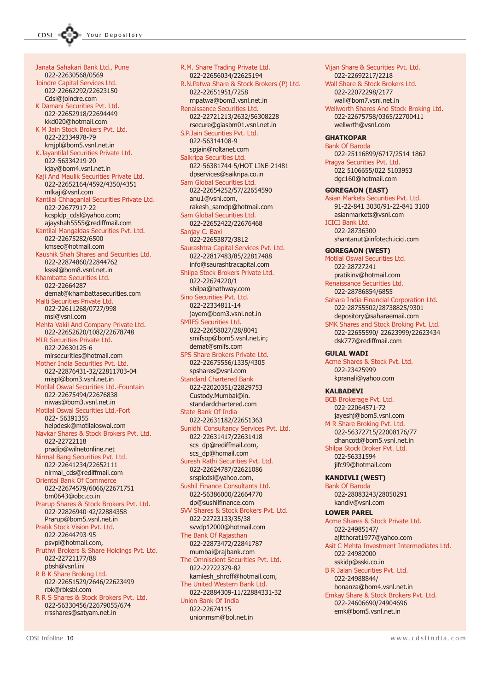Janata Sahakari Bank Ltd., Pune 022-22630568/0569 Joindre Capital Services Ltd. 022-22662292/22623150 Cdsl@joindre.com K Damani Securities Pvt. Ltd. 022-22652918/22694449 kkd020@hotmail.com K M Jain Stock Brokers Pvt. Ltd. 022-22334978-79 kmjpl@bom5.vsnl.net.in K.Jayantilal Securities Private Ltd. 022-56334219-20 kjay@bom4.vsnl.net.in Kaji And Maulik Securities Private Ltd. 022-22652164/4592/4350/4351 mlkaji@vsnl.com Kantilal Chhaganlal Securities Private Ltd. 022-22677917-22 kcspldp\_cdsl@yahoo.com; ajayshah5555@rediffmail.com Kantilal Mangaldas Securities Pvt. Ltd. 022-22675282/6500 kmsec@hotmail.com Kaushik Shah Shares and Securities Ltd. 022-22874860/22844762 ksssl@bom8.vsnl.net.in Khambatta Securities Ltd. 022-22664287 demat@khambattasecurities.com Malti Securities Private Ltd. 022-22611268/0727/998 msl@vsnl.com Mehta Vakil And Company Private Ltd. 022-22652620/1082/22678748 MLR Securities Private Ltd. 022-22630125-6 mlrsecurities@hotmail.com Mother India Securities Pvt. Ltd. 022-22876431-32/22811703-04 mispl@bom3.vsnl.net.in Motilal Oswal Securities Ltd.-Fountain 022-22675494/22676838 niwas@bom3.vsnl.net.in Motilal Oswal Securities Ltd.-Fort 022- 56391355 helpdesk@motilaloswal.com Navkar Shares & Stock Brokers Pvt. Ltd. 022-22722118 pradip@wilnetonline.net Nirmal Bang Securities Pvt. Ltd. 022-22641234/22652111 nirmal\_cds@rediffmail.com Oriental Bank Of Commerce 022-22674579/6066/22671751 bm0643@obc.co.in Prarup Shares & Stock Brokers Pvt. Ltd. 022-22826940-42/22884358 Prarup@bom5.vsnl.net.in Pratik Stock Vision Pvt. Ltd. 022-22644793-95 psvpl@hotmail.com, Pruthvi Brokers & Share Holdings Pvt. Ltd. 022-22721177/88 pbsh@vsnl.ini R B K Share Broking Ltd. 022-22651529/2646/22623499 rbk@rbksbl.com R R S Shares & Stock Brokers Pvt. Ltd. 022-56330456/22679055/674 rrsshares@satyam.net.in

R.M. Share Trading Private Ltd. 022-22656034/22625194 R.N.Patwa Share & Stock Brokers (P) Ltd. 022-22651951/7258 rnpatwa@bom3.vsnl.net.in Renaissance Securities Ltd. 022-22721213/2632/56308228 rsecure@giasbm01.vsnl.net.in S.P.Jain Securities Pvt. Ltd. 022-56314108-9 spjain@roltanet.com Saikripa Securities Ltd. 022-56381744-5/HOT LINE-21481 dpservices@saikripa.co.in Sam Global Securities Ltd. 022-22654252/57/22654590 anu1@vsnl.com, rakesh\_samdp@hotmail.com Sam Global Securities Ltd. 022-22652422/22676468 Sanjay C. Baxi 022-22653872/3812 Saurashtra Capital Services Pvt. Ltd. 022-22817483/85/22817488 info@saurashtracapital.com Shilpa Stock Brokers Private Ltd. 022-22624220/1 shilpa@hathway.com Sino Securities Pvt. Ltd. 022-22334811-14 jayem@bom3.vsnl.net.in SMIFS Securities Ltd. 022-22658027/28/8041 smifsop@bom5.vsnl.net.in; demat@smifs.com SPS Share Brokers Private Ltd. 022-22675556/1335/4305 spshares@vsnl.com Standard Chartered Bank 022-22020351/22829753 Custody.Mumbai@in. standardchartered.com State Bank Of India 022-22631182/22651363 Sunidhi Consultancy Services Pvt. Ltd. 022-22631417/22631418 scs\_dp@rediffmail.com, scs\_dp@homail.com Suresh Rathi Securities Pvt. Ltd. 022-22624787/22621086 srsplcdsl@yahoo.com, Sushil Finance Consultants Ltd. 022-56386000/22664770 dp@sushilfinance.com SVV Shares & Stock Brokers Pvt. Ltd. 022-22723133/35/38 svvdp12000@hotmail.com The Bank Of Rajasthan 022-22873472/22841787 mumbai@rajbank.com The Omniscient Securities Pvt. Ltd. 022-22722379-82 kamlesh\_shroff@hotmail.com, The United Western Bank Ltd. 022-22884309-11/22884331-32 Union Bank Of India 022-22674115 unionmsm@bol.net.in

Wall Share & Stock Brokers Ltd. 022-22072298/2177 wall@bom7.vsnl.net.in Wellworth Shares And Stock Broking Ltd. 022-22675758/0365/22700411 wellwrth@vsnl.com **GHATKOPAR** Bank Of Baroda 022-25116899/6717/2514 1862 Pragya Securities Pvt. Ltd. 022 5106655/022 5103953 dgc160@hotmail.com GOREGAON (EAST) Asian Markets Securities Pvt. Ltd. 91-22-841 3030/91-22-841 3100 asianmarkets@vsnl.com ICICI Bank Ltd. 022-28736300 shantanut@infotech.icici.com GOREGAON (WEST) Motilal Oswal Securities Ltd. 022-28727241 pratikinv@hotmail.com Renaissance Securities Ltd. 022-28786854/6855 Sahara India Financial Corporation Ltd. 022-28755502/28738825/9301 depository@saharaemail.com SMK Shares and Stock Broking Pvt. Ltd. 022-22655590/ 22623999/22623434 dsk777@rediffmail.com GULAL WADI Acme Shares & Stock Pvt. Ltd. 022-23425999 kpranali@yahoo.com KALBADEVI BCB Brokerage Pvt. Ltd. 022-22064571-72 jayeshj@bom5.vsnl.com M R Share Broking Pvt. Ltd. 022-56372715/22008176/77 dhancott@bom5.vsnl.net.in Shilpa Stock Broker Pvt. Ltd. 022-56331594 jifc99@hotmail.com KANDIVLI (WEST) Bank Of Baroda 022-28083243/28050291 kandiv@vsnl.com LOWER PAREL Acme Shares & Stock Private Ltd. 022-24985147/ ajitthorat1977@yahoo.com Asit C Mehta Investment Intermediates Ltd. 022-24982000 sskidp@sski.co.in B R Jalan Securities Pvt. Ltd. 022-24988844/ bonanza@bom4.vsnl.net.in Emkay Share & Stock Brokers Pvt. Ltd. 022-24606690/24904696 emk@bom5.vsnl.net.in

Vijan Share & Securities Pvt. Ltd. 022-22692217/2218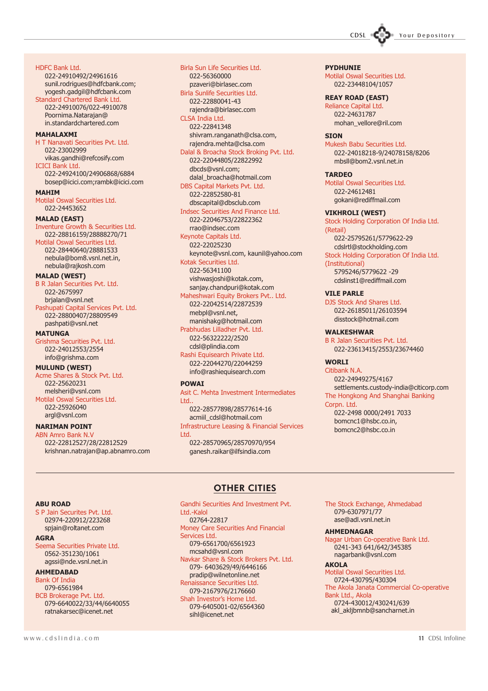

HDFC Bank Ltd.

022-24910492/24961616 sunil.rodrigues@hdfcbank.com; yogesh.gadgil@hdfcbank.com Standard Chartered Bank Ltd. 022-24910076/022-4910078 Poornima.Natarajan@ in.standardchartered.com

#### MAHAI AXMT

H T Nanavati Securities Pvt. Ltd. 022-23002999 vikas.gandhi@refcosify.com ICICI Bank Ltd. 022-24924100/24906868/6884 bosep@icici.com;rambk@icici.com

#### MAHIM

Motilal Oswal Securities Ltd. 022-24453652

#### MALAD (EAST)

Inventure Growth & Securities Ltd. 022-28816159/28888270/71 Motilal Oswal Securities Ltd. 022-28440640/28881533 nebula@bom8.vsnl.net.in, nebula@rajkosh.com

#### MALAD (WEST)

B R Jalan Securities Pvt. Ltd. 022-2675997 brjalan@vsnl.net Pashupati Capital Services Pvt. Ltd. 022-28800407/28809549 pashpati@vsnl.net

#### **MATUNGA**

Grishma Securities Pvt. Ltd. 022-24012553/2554 info@grishma.com

#### MULUND (WEST)

Acme Shares & Stock Pvt. Ltd. 022-25620231 melsheri@vsnl.com Motilal Oswal Securities Ltd. 022-25926040 argl@vsnl.com

#### NARIMAN POINT

ABN Amro Bank N.V 022-22812527/28/22812529 krishnan.natrajan@ap.abnamro.com Birla Sun Life Securities Ltd. 022-56360000 pzaveri@birlasec.com Birla Sunlife Securities Ltd. 022-22880041-43 rajendra@birlasec.com CLSA India Ltd. 022-22841348 shivram.ranganath@clsa.com, rajendra.mehta@clsa.com Dalal & Broacha Stock Broking Pvt. Ltd. 022-22044805/22822992 dbcds@vsnl.com; dalal\_broacha@hotmail.com DBS Capital Markets Pvt. Ltd. 022-22852580-81 dbscapital@dbsclub.com Indsec Securities And Finance Ltd. 022-22046753/22822362 rrao@indsec.com Keynote Capitals Ltd. 022-22025230 keynote@vsnl.com, kaunil@yahoo.com Kotak Securities Ltd. 022-56341100 vishwasjoshi@kotak.com, sanjay.chandpuri@kotak.com Maheshwari Equity Brokers Pvt.. Ltd. 022-22042514/22872539 mebpl@vsnl.net,

manishakg@hotmail.com Prabhudas Lilladher Pvt. Ltd. 022-56322222/2520 cdsl@plindia.com Rashi Equisearch Private Ltd. 022-22044270/22044259

info@rashiequisearch.com POWAI

Asit C. Mehta Investment Intermediates Ltd..

022-28577898/28577614-16 acmiil\_cdsl@hotmail.com Infrastructure Leasing & Financial Services Ltd. 022-28570965/28570970/954

ganesh.raikar@ilfsindia.com

#### PYDHUNIE

Motilal Oswal Securities Ltd. 022-23448104/1057

#### REAY ROAD (EAST)

Reliance Capital Ltd. 022-24631787 mohan\_vellore@ril.com

#### **SION**

Mukesh Babu Securities Ltd. 022-24018218-9/24078158/8206 mbsll@bom2.vsnl.net.in

#### TARDEO

Motilal Oswal Securities Ltd. 022-24612481 gokani@rediffmail.com

#### VIKHROLI (WEST)

Stock Holding Corporation Of India Ltd. (Retail) 022-25795261/5779622-29 cdslrtl@stockholding.com Stock Holding Corporation Of India Ltd. (Institutional) 5795246/5779622 -29 cdslinst1@rediffmail.com

#### VILE PARLE

DJS Stock And Shares Ltd. 022-26185011/26103594 disstock@hotmail.com

#### WALKESHWAR

B R Jalan Securities Pvt. Ltd. 022-23613415/2553/23674460

#### WORLI

Citibank N.A. 022-24949275/4167 settlements.custody-india@citicorp.com The Hongkong And Shanghai Banking Corpn. Ltd. 022-2498 0000/2491 7033 bomcnc1@hsbc.co.in,

bomcnc2@hsbc.co.in

#### ABU ROAD

S P Jain Securites Pvt. Ltd. 02974-220912/223268 spjain@roltanet.com

#### AGRA

Seema Securities Private Ltd. 0562-351230/1061 agssi@nde.vsnl.net.in

#### AHMEDABAD

Bank Of India 079-6561984 BCB Brokerage Pvt. Ltd. 079-6640022/33/44/6640055 ratnakarsec@icenet.net

### OTHER CITIES

Gandhi Securities And Investment Pvt. Ltd.-Kalol 02764-22817 Money Care Securities And Financial Services Ltd. 079-6561700/6561923 mcsahd@vsnl.com Navkar Share & Stock Brokers Pvt. Ltd. 079- 6403629/49/6446166 pradip@wilnetonline.net Renaissance Securities Ltd. 079-2167976/2176660 Shah Investor's Home Ltd. 079-6405001-02/6564360 sihl@icenet.net

The Stock Exchange, Ahmedabad 079-6307971/77 ase@adl.vsnl.net.in

#### AHMEDNAGAR

Nagar Urban Co-operative Bank Ltd. 0241-343 641/642/345385 nagarbank@vsnl.com

#### AKOLA

Motilal Oswal Securities Ltd. 0724-430795/430304 The Akola Janata Commercial Co-operative Bank Ltd., Akola 0724-430012/430241/639 akl\_akljbmnb@sancharnet.in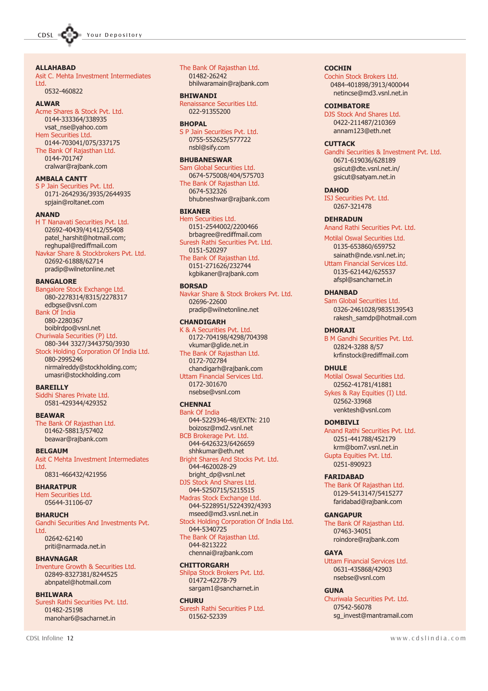#### ALLAHABAD

Asit C. Mehta Investment Intermediates Ltd.

0532-460822

#### ALWAR

Acme Shares & Stock Pvt. Ltd. 0144-333364/338935 vsat\_nse@yahoo.com Hem Securities Ltd. 0144-703041/075/337175 The Bank Of Rajasthan Ltd. 0144-701747 cralwar@rajbank.com

#### AMBALA CANTT

S P Jain Securities Pvt. Ltd. 0171-2642936/3935/2644935 spjain@roltanet.com

#### ANAND

H T Nanavati Securities Pvt. Ltd. 02692-40439/41412/55408 patel\_harshit@hotmail.com; reghupal@rediffmail.com Navkar Share & Stockbrokers Pvt. Ltd.

02692-61888/62714 pradip@wilnetonline.net

#### BANGALORE

Bangalore Stock Exchange Ltd. 080-2278314/8315/2278317 edbgse@vsnl.com Bank Of India 080-2280367 boiblrdpo@vsnl.net Churiwala Securities (P) Ltd. 080-344 3327/3443750/3930 Stock Holding Corporation Of India Ltd. 080-2995246 nirmalreddy@stockholding.com;

### umasri@stockholding.com **BAREILLY**

Siddhi Shares Private Ltd. 0581-429344/429352

#### **BEAWAR**

The Bank Of Rajasthan Ltd. 01462-58813/57402 beawar@rajbank.com

#### **BELGAUM**

Asit C Mehta Investment Intermediates **Ltd.** 0831-466432/421956

#### BHARATPUR

Hem Securities Ltd. 05644-31106-07

#### **BHARUCH**

Gandhi Securities And Investments Pvt. Ltd. 02642-62140 priti@narmada.net.in

#### BHAVNAGAR

Inventure Growth & Securities Ltd. 02849-8327381/8244525 abnpatel@hotmail.com

#### **BHILWARA**

Suresh Rathi Securities Pvt. Ltd. 01482-25198 manohar6@sacharnet.in

#### The Bank Of Rajasthan Ltd. 01482-26242

bhilwaramain@rajbank.com

BHIWANDI Renaissance Securities Ltd.

022-91355200

#### BHOPAL

S P Jain Securities Pvt. Ltd. 0755-552625/577722 nsbl@sify.com

#### BHUBANESWAR

Sam Global Securities Ltd. 0674-575008/404/575703 The Bank Of Rajasthan Ltd. 0674-532326 bhubneshwar@rajbank.com

#### BIKANER

Hem Securities Ltd. 0151-2544002/2200466 brbagree@rediffmail.com Suresh Rathi Securities Pvt. Ltd. 0151-520297 The Bank Of Rajasthan Ltd. 0151-271626/232744 kgbikaner@rajbank.com

#### BORSAD

Navkar Share & Stock Brokers Pvt. Ltd. 02696-22600 pradip@wilnetonline.net

#### **CHANDIGARH**

K & A Securities Pvt. Ltd. 0172-704198/4298/704398 vkumar@glide.net.in The Bank Of Rajasthan Ltd. 0172-702784 chandigarh@rajbank.com Uttam Financial Services Ltd. 0172-301670 nsebse@vsnl.com

#### **CHENNAI**

Bank Of India 044-5229346-48/EXTN: 210 boizosz@md2.vsnl.net BCB Brokerage Pvt. Ltd.

044-6426323/6426659 shhkumar@eth.net Bright Shares And Stocks Pvt. Ltd.

044-4620028-29 bright\_dp@vsnl.net DJS Stock And Shares Ltd.

044-5250715/5215515 Madras Stock Exchange Ltd.

044-5228951/5224392/4393 mseed@md3.vsnl.net.in Stock Holding Corporation Of India Ltd.

044-5340725 The Bank Of Rajasthan Ltd. 044-8213222 chennai@rajbank.com

#### **CHITTORGARH**

Shilpa Stock Brokers Pvt. Ltd. 01472-42278-79 sargam1@sancharnet.in

#### **CHURU**

Suresh Rathi Securities P Ltd. 01562-52339

#### **COCHIN**

Cochin Stock Brokers Ltd. 0484-401898/3913/400044 netincse@md3.vsnl.net.in

#### **COIMBATORE**

DJS Stock And Shares Ltd. 0422-211487/210369 annam123@eth.net

#### **CUTTACK**

Gandhi Securities & Investment Pvt. Ltd. 0671-619036/628189 gsicut@dte.vsnl.net.in/ gsicut@satyam.net.in

#### **DAHOD**

ISJ Securities Pvt. Ltd. 0267-321478

#### DEHRADUN

Anand Rathi Securities Pvt. Ltd.

#### Motilal Oswal Securities Ltd.

0135-653860/659752 sainath@nde.vsnl.net.in; Uttam Financial Services Ltd. 0135-621442/625537 afspl@sancharnet.in

#### DHANBAD

Sam Global Securities Ltd. 0326-2461028/9835139543 rakesh\_samdp@hotmail.com

#### **DHORAJI**

B M Gandhi Securities Pvt. Ltd. 02824-3288 8/57 krfinstock@rediffmail.com

#### DHULE

Motilal Oswal Securities Ltd. 02562-41781/41881 Sykes & Ray Equities (I) Ltd. 02562-33968 venktesh@vsnl.com

#### **DOMBIVLI**

Anand Rathi Securities Pvt. Ltd. 0251-441788/452179 krm@bom7.vsnl.net.in Gupta Equities Pvt. Ltd. 0251-890923

#### FARIDABAD

The Bank Of Rajasthan Ltd. 0129-5413147/5415277 faridabad@rajbank.com

#### **GANGAPUR**

The Bank Of Rajasthan Ltd. 07463-34051 roindore@rajbank.com

#### **GAYA**

Uttam Financial Services Ltd. 0631-435868/42903 nsebse@vsnl.com

#### **GUNA**

Churiwala Securities Pvt. Ltd. 07542-56078 sg\_invest@mantramail.com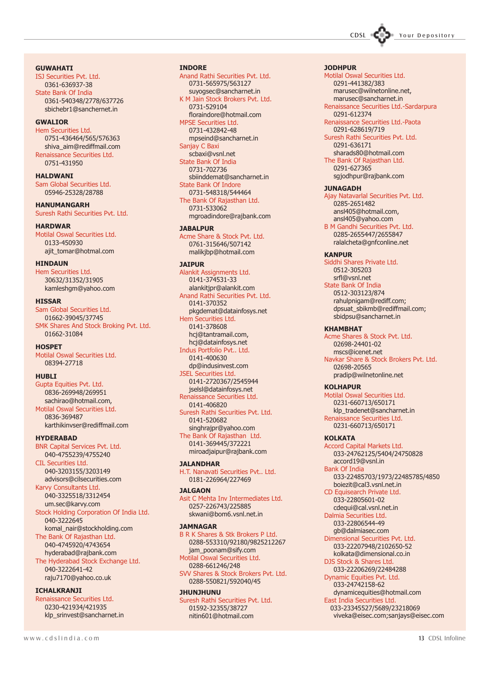

**GUWAHATI** 

ISJ Securities Pvt. Ltd. 0361-636937-38 State Bank Of India 0361-540348/2778/637726 sbichebr1@sanchernet.in

#### GWALIOR

Hem Securities Ltd. 0751-436464/565/576363 shiva\_aim@rediffmail.com Renaissance Securities Ltd. 0751-431950

HALDWANI Sam Global Securities Ltd. 05946-25328/28788

HANUMANGARH Suresh Rathi Securities Pvt. Ltd.

HARDWAR Motilal Oswal Securities Ltd. 0133-450930 ajit\_tomar@hotmal.com

#### HINDAUN

Hem Securities Ltd. 30632/31352/31905 kamleshgm@yahoo.com

#### HISSAR

Sam Global Securities Ltd. 01662-39045/37745 SMK Shares And Stock Broking Pvt. Ltd. 01662-31084

**HOSPFT** 

Motilal Oswal Securities Ltd. 08394-27718

#### **HUBLI**

Gupta Equities Pvt. Ltd. 0836-269948/269951 sachirao@hotmail.com, Motilal Oswal Securities Ltd. 0836-369487 karthikinvser@rediffmail.com

HYDERABAD

BNR Capital Services Pvt. Ltd. 040-4755239/4755240 CIL Securities Ltd. 040-3203155/3203149 advisors@cilsecurities.com Karvy Consultants Ltd. 040-3325518/3312454 um.sec@karvy.com Stock Holding Corporation Of India Ltd. 040-3222645 komal\_nair@stockholding.com The Bank Of Rajasthan Ltd. 040-4745920/4743654 hyderabad@rajbank.com The Hyderabad Stock Exchange Ltd. 040-3222641-42

raju7170@yahoo.co.uk

#### **ICHALKRANJI**

Renaissance Securities Ltd. 0230-421934/421935 klp\_srinvest@sancharnet.in

Hem Securities Ltd. 0141-378608 hcj@tantramail.com, hcj@datainfosys.net

Indus Portfolio Pvt.. Ltd. 0141-400630 dp@indusinvest.com JSEL Securities Ltd.

INDORE

0731-529104

MPSE Securities Ltd. 0731-432842-48 mpseind@sancharnet.in

State Bank Of Indore 0731-548318/544464 The Bank Of Rajasthan Ltd. 0731-533062

Sanjay C Baxi scbaxi@vsnl.net State Bank Of India 0731-702736

**JABALPUR** 

JAIPUR

Anand Rathi Securities Pvt. Ltd. 0731-565975/563127 suyogsec@sancharnet.in K M Jain Stock Brokers Pvt. Ltd.

floraindore@hotmail.com

sbiinddemat@sancharnet.in

mgroadindore@rajbank.com

pkgdemat@datainfosys.net

Acme Share & Stock Pvt. Ltd. 0761-315646/507142 malikjbp@hotmail.com

Alankit Assignments Ltd. 0141-374531-33 alankitjpr@alankit.com Anand Rathi Securities Pvt. Ltd.

0141-370352

0141-2720367/2545944 jselsl@datainfosys.net Renaissance Securities Ltd. 0141-406820

Suresh Rathi Securities Pvt. Ltd. 0141-520682 singhrajpr@yahoo.com The Bank Of Rajasthan Ltd. 0141-369445/372221 miroadjaipur@rajbank.com

JALANDHAR H.T. Nanavati Securities Pvt.. Ltd.

0181-226964/227469

#### **JALGAON**

Asit C Mehta Inv Intermediates Ltd. 0257-226743/225885 skwani@bom6.vsnl.net.in

#### **JAMNAGAR**

B R K Shares & Stk Brokers P Ltd. 0288-553310/92180/9825212267 jam\_poonam@sify.com Motilal Oswal Securities Ltd. 0288-661246/248 SVV Shares & Stock Brokers Pvt. Ltd. 0288-550821/592040/45

#### JHUNJHUNU

Suresh Rathi Securities Pvt. Ltd. 01592-32355/38727 nitin601@hotmail.com

#### JODHPUR

Motilal Oswal Securities Ltd. 0291-441382/383 marusec@wilnetonline.net, marusec@sancharnet.in Renaissance Securities Ltd.-Sardarpura 0291-612374 Renaissance Securities Ltd.-Paota 0291-628619/719 Suresh Rathi Securities Pvt. Ltd. 0291-636171 sharads80@hotmail.com The Bank Of Rajasthan Ltd. 0291-627365 sgjodhpur@rajbank.com JUNAGADH Ajay Natavarlal Securities Pvt. Ltd.

0285-2651482 ansl405@hotmail.com, ansl405@yahoo.com B M Gandhi Securities Pvt. Ltd. 0285-2655447/2655847 ralalcheta@gnfconline.net

#### **KANPUR**

Siddhi Shares Private Ltd. 0512-305203 srfl@vsnl.net State Bank Of India 0512-303123/874 rahulpnigam@rediff.com; dpsuat\_sbikmb@rediffmail.com; sbidpsu@sancharnet.in

#### KHAMBHAT

Acme Shares & Stock Pvt. Ltd. 02698-24401-02 mscs@icenet.net Navkar Share & Stock Brokers Pvt. Ltd. 02698-20565 pradip@wilnetonline.net

#### **KOLHAPUR**

Motilal Oswal Securities Ltd. 0231-660713/650171 klp\_tradenet@sancharnet.in Renaissance Securities Ltd. 0231-660713/650171

#### KOLKATA

Accord Capital Markets Ltd. 033-24762125/5404/24750828 accord19@vsnl.in Bank Of India 033-22485703/1973/22485785/4850 boiezit@cal3.vsnl.net.in CD Equisearch Private Ltd. 033-22805601-02 cdequi@cal.vsnl.net.in Dalmia Securities Ltd. 033-22806544-49 gb@dalmiasec.com Dimensional Securities Pvt. Ltd. 033-22207948/2102650-52 kolkata@dimensional.co.in DJS Stock & Shares Ltd. 033-22206269/22484288 Dynamic Equities Pvt. Ltd. 033-24742158-62 dynamicequities@hotmail.com East India Securities Ltd. 033-23345527/5689/23218069

viveka@eisec.com;sanjays@eisec.com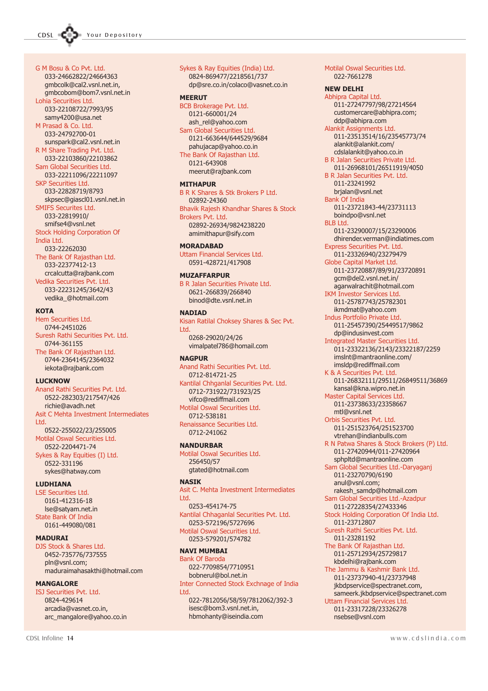G M Bosu & Co Pvt. Ltd. 033-24662822/24664363 gmbcolk@cal2.vsnl.net.in, gmbcobom@bom7.vsnl.net.in Lohia Securities Ltd. 033-22108722/7993/95 samy4200@usa.net M Prasad & Co. Ltd. 033-24792700-01 sunspark@cal2.vsnl.net.in R M Share Trading Pvt. Ltd. 033-22103860/22103862 Sam Global Securities Ltd. 033-22211096/22211097 SKP Securities Ltd. 033-22828719/8793 skpsec@giascl01.vsnl.net.in SMIFS Securites Ltd. 033-22819910/ smifse4@vsnl.net Stock Holding Corporation Of India Ltd. 033-22262030 The Bank Of Rajasthan Ltd. 033-22377412-13 crcalcutta@rajbank.com Vedika Securities Pvt. Ltd. 033-22231245/3642/43 vedika\_@hotmail.com

**KOTA** 

Hem Securities Ltd. 0744-2451026 Suresh Rathi Securities Pvt. Ltd. 0744-361155 The Bank Of Rajasthan Ltd. 0744-2364145/2364032 iekota@rajbank.com

#### LUCKNOW

Anand Rathi Securities Pvt. Ltd. 0522-282303/217547/426 richie@avadh.net Asit C Mehta Investment Intermediates Ltd. 0522-255022/23/255005 Motilal Oswal Securities Ltd. 0522-2204471-74 Sykes & Ray Equities (I) Ltd. 0522-331196 sykes@hatway.com

#### LUDHIANA

LSE Securities Ltd. 0161-412316-18 lse@satyam.net.in State Bank Of India 0161-449080/081

#### MADURAI

DJS Stock & Shares Ltd. 0452-735776/737555 pln@vsnl.com; maduraimahasakthi@hotmail.com

#### MANGALORE

ISJ Securities Pvt. Ltd. 0824-429614 arcadia@vasnet.co.in, arc\_mangalore@yahoo.co.in

#### Sykes & Ray Equities (India) Ltd. 0824-869477/2218561/737 dp@sre.co.in/colaco@vasnet.co.in **MEERUT** BCB Brokerage Pvt. Ltd. 0121-660001/24 ash\_rel@yahoo.com Sam Global Securities Ltd. 0121-663644/644529/9684 pahujacap@yahoo.co.in The Bank Of Rajasthan Ltd. 0121-643908 meerut@rajbank.com MITHAPUR

B R K Shares & Stk Brokers P Ltd. 02892-24360 Bhavik Rajesh Khandhar Shares & Stock Brokers Pvt. Ltd.

02892-26934/9824238220 amimithapur@sify.com

#### MORADABAD

Uttam Financial Services Ltd. 0591-428721/417908

#### **MUZAFFARPUR**

B R Jalan Securities Private Ltd. 0621-266839/266840 binod@dte.vsnl.net.in

#### NADIAD

Kisan Ratilal Choksey Shares & Sec Pvt. Ltd. 0268-29020/24/26 vimalpatel786@homail.com

#### **NAGPUR**

Anand Rathi Securities Pvt. Ltd. 0712-814721-25 Kantilal Chhganlal Securities Pvt. Ltd. 0712-731922/731923/25 vifco@rediffmail.com Motilal Oswal Securities Ltd. 0712-538181 Renaissance Securities Ltd.

0712-241062

#### NANDURBAR

Motilal Oswal Securities Ltd. 256450/57 gtated@hotmail.com

#### **NASTK**

Asit C. Mehta Investment Intermediates **Ltd.** 0253-454174-75 Kantilal Chhaganlal Securities Pvt. Ltd. 0253-572196/5727696 Motilal Oswal Securities Ltd. 0253-579201/574782

#### NAVI MUMBAI

Bank Of Baroda 022-7709854/7710951 bobnerul@bol.net.in Inter Connected Stock Exchnage of India Ltd. 022-7812056/58/59/7812062/392-3 isesc@bom3.vsnl.net.in, hbmohanty@iseindia.com

Motilal Oswal Securities Ltd. 022-7661278 NEW DELHI Abhipra Capital Ltd. 011-27247797/98/27214564 customercare@abhipra.com; ddp@abhipra.com Alankit Assignments Ltd. 011-23513514/16/23545773/74 alankit@alankit.com/ cdslalankit@yahoo.co.in B R Jalan Securities Private Ltd. 011-26968101/26511919/4050 B R Jalan Securities Pvt. Ltd. 011-23241992 brjalan@vsnl.net Bank Of India 011-23721843-44/23731113 boindpo@vsnl.net BLB Ltd. 011-23290007/15/23290006 dhirender.verman@indiatimes.com Express Securities Pvt. Ltd. 011-23326940/23279479 Globe Capital Market Ltd. 011-23720887/89/91/23720891 gcm@del2.vsnl.net.in/ agarwalrachit@hotmail.com IKM Investor Services Ltd. 011-25787743/25782301 ikmdmat@yahoo.com Indus Portfolio Private Ltd. 011-25457390/25449517/9862 dp@indusinvest.com Integrated Master Securities Ltd. 011-23322136/2143/23322187/2259 imslnt@mantraonline.com/ imsldp@rediffmail.com K & A Securities Pvt. Ltd. 011-26832111/29511/26849511/36869 kansal@kna.wipro.net.in Master Capital Services Ltd. 011-23738633/23358667 mtl@vsnl.net Orbis Securities Pvt. Ltd. 011-251523764/251523700 vtrehan@indianbulls.com R N Patwa Shares & Stock Brokers (P) Ltd. 011-27420944/011-27420964 sphpltd@mantraonline.com Sam Global Securities Ltd.-Daryaganj 011-23270790/6190 anul@vsnl.com; rakesh\_samdp@hotmail.com Sam Global Securities Ltd.-Azadpur 011-27228354/27433346 Stock Holding Corporation Of India Ltd. 011-23712807 Suresh Rathi Securities Pvt. Ltd. 011-23281192 The Bank Of Rajasthan Ltd. 011-25712934/25729817 kbdelhi@rajbank.com The Jammu & Kashmir Bank Ltd. 011-23737940-41/23737948 jkbdpservice@spectranet.com, sameerk.jkbdpservice@spectranet.com Uttam Financial Services Ltd. 011-23317228/23326278

nsebse@vsnl.com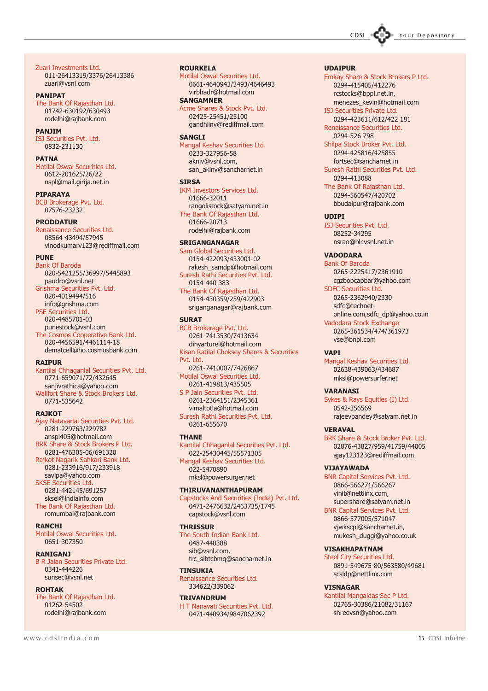

Zuari Investments Ltd. 011-26413319/3376/26413386 zuari@vsnl.com

#### PANIPAT

The Bank Of Rajasthan Ltd. 01742-630192/630493 rodelhi@rajbank.com

#### PANJIM

ISJ Securities Pvt. Ltd. 0832-231130

#### PATNA

Motilal Oswal Securities Ltd. 0612-201625/26/22 nspl@mail.girija.net.in

#### **PIPARAYA**

BCB Brokerage Pvt. Ltd. 07576-23232

#### PRODDATUR

Renaissance Securities Ltd. 08564-43494/57945 vinodkumarv123@rediffmail.com

#### PUNE

Bank Of Baroda 020-5421255/36997/5445893 paudro@vsnl.net Grishma Securities Pvt. Ltd. 020-4019494/516 info@grishma.com PSE Securities Ltd. 020-4485701-03 punestock@vsnl.com The Cosmos Cooperative Bank Ltd. 020-4456591/4461114-18 dematcell@ho.cosmosbank.com

#### **RATPLIR**

Kantilal Chhaganlal Securities Pvt. Ltd. 0771-659071/72/432645 sanjivrathica@yahoo.com Wallfort Share & Stock Brokers Ltd. 0771-535642

#### **RAJKOT**

Ajay Natavarlal Securities Pvt. Ltd. 0281-229763/229782 anspl405@hotmail.com BRK Share & Stock Brokers P Ltd. 0281-476305-06/691320 Rajkot Nagarik Sahkari Bank Ltd. 0281-233916/917/233918 savipa@yahoo.com SKSE Securities Ltd. 0281-442145/691257 sksel@indiainfo.com

The Bank Of Rajasthan Ltd. romumbai@rajbank.com

#### RANCHI

Motilal Oswal Securities Ltd. 0651-307350

#### RANIGANJ

B R Jalan Securities Private Ltd. 0341-444226 sunsec@vsnl.net

#### ROHTAK

The Bank Of Rajasthan Ltd. 01262-54502 rodelhi@rajbank.com

### ROURKELA

Motilal Oswal Securities Ltd. 0661-4640943/3493/4646493 virbhadr@hotmail.com SANGAMNER

Acme Shares & Stock Pvt. Ltd. 02425-25451/25100 gandhiinv@rediffmail.com

#### **SANGLI**

Mangal Keshav Securities Ltd. 0233-327956-58 akniv@vsnl.com, san\_akinv@sancharnet.in

#### **STRSA**

IKM Investors Services Ltd. 01666-32011 rangolistock@satyam.net.in The Bank Of Rajasthan Ltd. 01666-20713 rodelhi@rajbank.com

#### SRIGANGANAGAR

Sam Global Securities Ltd. 0154-422093/433001-02 rakesh\_samdp@hotmail.com Suresh Rathi Securities Pvt. Ltd. 0154-440 383 The Bank Of Rajasthan Ltd.

0154-430359/259/422903 sriganganagar@rajbank.com

#### **SURAT**

BCB Brokerage Pvt. Ltd. 0261-7413530/7413634 dinyarturel@hotmail.com Kisan Ratilal Choksey Shares & Securities Pvt. Ltd. 0261-7410007/7426867 Motilal Oswal Securities Ltd. 0261-419813/435505 S P Jain Securities Pvt. Ltd. 0261-2364151/2345361 vimaltotla@hotmail.com

Suresh Rathi Securities Pvt. Ltd. 0261-655670

#### **THANE**

Kantilal Chhaganlal Securities Pvt. Ltd. 022-25430445/55571305 Mangal Keshav Securities Ltd.

022-5470890 mksl@powersurger.net

#### THIRUVANANTHAPURAM

Capstocks And Securities (India) Pvt. Ltd. 0471-2476632/2463735/1745 capstock@vsnl.com

#### **THRISSUR**

The South Indian Bank Ltd. 0487-440388 sib@vsnl.com, trc\_sibtcbmq@sancharnet.in

#### **TINSUKIA**

Renaissance Securities Ltd. 334622/339062

#### TRIVANDRUM

H T Nanavati Securities Pvt. Ltd. 0471-440934/9847062392

#### UDAIPUR

Emkay Share & Stock Brokers P Ltd. 0294-415405/412276 rcstocks@bppl.net.in, menezes\_kevin@hotmail.com ISJ Securities Private Ltd. 0294-423611/612/422 181

Renaissance Securities Ltd. 0294-526 798

Shilpa Stock Broker Pvt. Ltd. 0294-425816/425855

fortsec@sancharnet.in Suresh Rathi Securities Pvt. Ltd.

0294-413088 The Bank Of Rajasthan Ltd. 0294-560547/420702 bbudaipur@rajbank.com

#### UDIPI

ISJ Securities Pvt. Ltd. 08252-34295 nsrao@blr.vsnl.net.in

#### VADODARA

Bank Of Baroda 0265-2225417/2361910 cgzbobcapbar@yahoo.com SDFC Securities Ltd.

0265-2362940/2330 sdfc@technetonline.com,sdfc\_dp@yahoo.co.in Vadodara Stock Exchange 0265-361534/474/361973 vse@bnpl.com

#### VAPI

Mangal Keshav Securities Ltd. 02638-439063/434687 mksl@powersurfer.net

#### VARANASI

Sykes & Rays Equities (I) Ltd. 0542-356569 rajeevpandey@satyam.net.in

#### VERAVAL

BRK Share & Stock Broker Pvt. Ltd. 02876-43827/959/41759/44005 ajay123123@rediffmail.com

#### VIJAYAWADA

BNR Capital Services Pvt. Ltd. 0866-566271/566267 vinit@nettlinx.com, supershare@satyam.net.in

BNR Capital Services Pvt. Ltd. 0866-577005/571047 vjwkscpl@sancharnet.in,

mukesh\_duggi@yahoo.co.uk

#### VISAKHAPATNAM

Steel City Securities Ltd. 0891-549675-80/563580/49681 scsldp@nettlinx.com

#### VISNAGAR

Kantilal Mangaldas Sec P Ltd. 02765-30386/21082/31167 shreevsn@yahoo.com